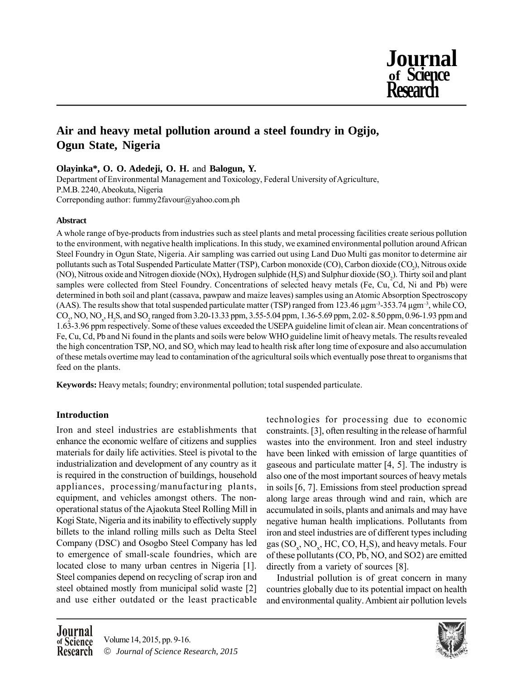

# **Air and heavy metal pollution around a steel foundry in Ogijo, Ogun State, Nigeria**

# **Olayinka\*, O. O. Adedeji, O. H.** and **Balogun, Y.**

Department of Environmental Management and Toxicology, Federal University of Agriculture, P.M.B. 2240, Abeokuta, Nigeria Correponding author: fummy2favour@yahoo.com.ph

# **Abstract**

A whole range of bye-products from industries such as steel plants and metal processing facilities create serious pollution to the environment, with negative health implications. In this study, we examined environmental pollution around African Steel Foundry in Ogun State, Nigeria. Air sampling was carried out using Land Duo Multi gas monitor to determine air pollutants such as Total Suspended Particulate Matter (TSP), Carbon monoxide (CO), Carbon dioxide (CO<sub>2</sub>), Nitrous oxide (NO), Nitrous oxide and Nitrogen dioxide (NOx), Hydrogen sulphide (H<sub>2</sub>S) and Sulphur dioxide (SO<sub>2</sub>). Thirty soil and plant samples were collected from Steel Foundry. Concentrations of selected heavy metals (Fe, Cu, Cd, Ni and Pb) were determined in both soil and plant (cassava, pawpaw and maize leaves) samples using an Atomic Absorption Spectroscopy (AAS). The results show that total suspended particulate matter (TSP) ranged from 123.46  $\mu$ gm<sup>-3</sup>-353.74  $\mu$ gm<sup>-3</sup>, while CO,  $CO_2$ , NO, NO<sub>x</sub>, H<sub>2</sub>S, and SO<sub>2</sub> ranged from 3.20-13.33 ppm, 3.55-5.04 ppm, 1.36-5.69 ppm, 2.02-8.50 ppm, 0.96-1.93 ppm and 1.63-3.96 ppm respectively. Some of these values exceeded the USEPA guideline limit of clean air. Mean concentrations of Fe, Cu, Cd, Pb and Ni found in the plants and soils were below WHO guideline limit of heavy metals. The results revealed the high concentration TSP, NO, and SO, which may lead to health risk after long time of exposure and also accumulation of these metals overtime may lead to contamination of the agricultural soils which eventually pose threat to organisms that feed on the plants.

**Keywords:** Heavy metals; foundry; environmental pollution; total suspended particulate.

# **Introduction**

Iron and steel industries are establishments that enhance the economic welfare of citizens and supplies materials for daily life activities. Steel is pivotal to the industrialization and development of any country as it is required in the construction of buildings, household appliances, processing/manufacturing plants, equipment, and vehicles amongst others. The nonoperational status of the Ajaokuta Steel Rolling Mill in Kogi State, Nigeria and its inability to effectively supply billets to the inland rolling mills such as Delta Steel Company (DSC) and Osogbo Steel Company has led to emergence of small-scale foundries, which are located close to many urban centres in Nigeria [1]. Steel companies depend on recycling of scrap iron and steel obtained mostly from municipal solid waste [2] and use either outdated or the least practicable

technologies for processing due to economic constraints. [3], often resulting in the release of harmful wastes into the environment. Iron and steel industry have been linked with emission of large quantities of gaseous and particulate matter [4, 5]. The industry is also one of the most important sources of heavy metals in soils [6, 7]. Emissions from steel production spread along large areas through wind and rain, which are accumulated in soils, plants and animals and may have negative human health implications. Pollutants from iron and steel industries are of different types including gas  $(SO_x, NO_x, HC, CO, H_2S)$ , and heavy metals. Four of these pollutants (CO, Pb, NO, and SO2) are emitted directly from a variety of sources [8].

Industrial pollution is of great concern in many countries globally due to its potential impact on health and environmental quality. Ambient air pollution levels

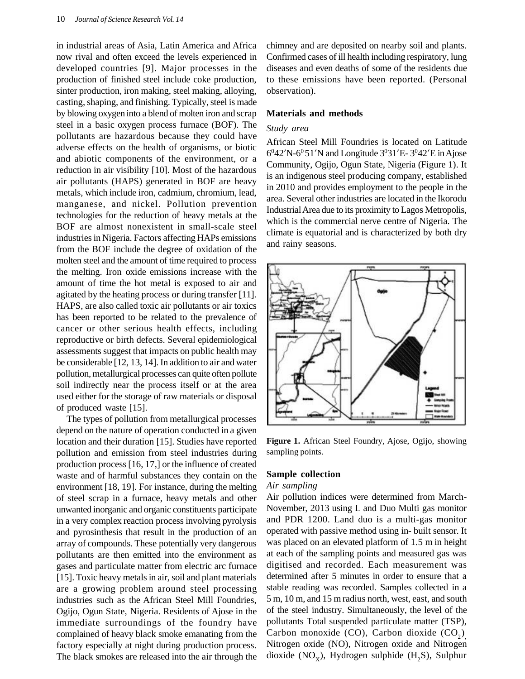in industrial areas of Asia, Latin America and Africa now rival and often exceed the levels experienced in developed countries [9]. Major processes in the production of finished steel include coke production, sinter production, iron making, steel making, alloying, casting, shaping, and finishing. Typically, steel is made by blowing oxygen into a blend of molten iron and scrap steel in a basic oxygen process furnace (BOF). The pollutants are hazardous because they could have adverse effects on the health of organisms, or biotic and abiotic components of the environment, or a reduction in air visibility [10]. Most of the hazardous air pollutants (HAPS) generated in BOF are heavy metals, which include iron, cadmium, chromium, lead, manganese, and nickel. Pollution prevention technologies for the reduction of heavy metals at the BOF are almost nonexistent in small-scale steel industries in Nigeria. Factors affecting HAPs emissions from the BOF include the degree of oxidation of the molten steel and the amount of time required to process the melting. Iron oxide emissions increase with the amount of time the hot metal is exposed to air and agitated by the heating process or during transfer [11]. HAPS, are also called toxic air pollutants or air toxics has been reported to be related to the prevalence of cancer or other serious health effects, including reproductive or birth defects. Several epidemiological assessments suggest that impacts on public health may be considerable [12, 13, 14]. In addition to air and water pollution, metallurgical processes can quite often pollute soil indirectly near the process itself or at the area used either for the storage of raw materials or disposal of produced waste [15].

The types of pollution from metallurgical processes depend on the nature of operation conducted in a given location and their duration [15]. Studies have reported pollution and emission from steel industries during production process [16, 17,] or the influence of created waste and of harmful substances they contain on the environment [18, 19]. For instance, during the melting of steel scrap in a furnace, heavy metals and other unwanted inorganic and organic constituents participate in a very complex reaction process involving pyrolysis and pyrosinthesis that result in the production of an array of compounds. These potentially very dangerous pollutants are then emitted into the environment as gases and particulate matter from electric arc furnace [15]. Toxic heavy metals in air, soil and plant materials are a growing problem around steel processing industries such as the African Steel Mill Foundries, Ogijo, Ogun State, Nigeria. Residents of Ajose in the immediate surroundings of the foundry have complained of heavy black smoke emanating from the factory especially at night during production process. The black smokes are released into the air through the chimney and are deposited on nearby soil and plants. Confirmed cases of ill health including respiratory, lung diseases and even deaths of some of the residents due to these emissions have been reported. (Personal observation).

#### **Materials and methods**

#### *Study area*

African Steel Mill Foundries is located on Latitude 6 <sup>0</sup>42'N-6<sup>0</sup>51'N and Longitude 3 <sup>0</sup>31'E- 3 <sup>0</sup>42'E in Ajose Community, Ogijo, Ogun State, Nigeria (Figure 1). It is an indigenous steel producing company, established in 2010 and provides employment to the people in the area. Several other industries are located in the Ikorodu Industrial Area due to its proximity to Lagos Metropolis, which is the commercial nerve centre of Nigeria. The climate is equatorial and is characterized by both dry and rainy seasons.



**Figure 1.** African Steel Foundry, Ajose, Ogijo, showing sampling points.

#### **Sample collection**

## *Air sampling*

Air pollution indices were determined from March-November, 2013 using L and Duo Multi gas monitor and PDR 1200. Land duo is a multi-gas monitor operated with passive method using in- built sensor. It was placed on an elevated platform of 1.5 m in height at each of the sampling points and measured gas was digitised and recorded. Each measurement was determined after 5 minutes in order to ensure that a stable reading was recorded. Samples collected in a 5 m, 10 m, and 15 m radius north, west, east, and south of the steel industry. Simultaneously, the level of the pollutants Total suspended particulate matter (TSP), Carbon monoxide (CO), Carbon dioxide  $(CO_2)$ Nitrogen oxide (NO), Nitrogen oxide and Nitrogen dioxide (NO<sub>x</sub>), Hydrogen sulphide (H<sub>2</sub>S), Sulphur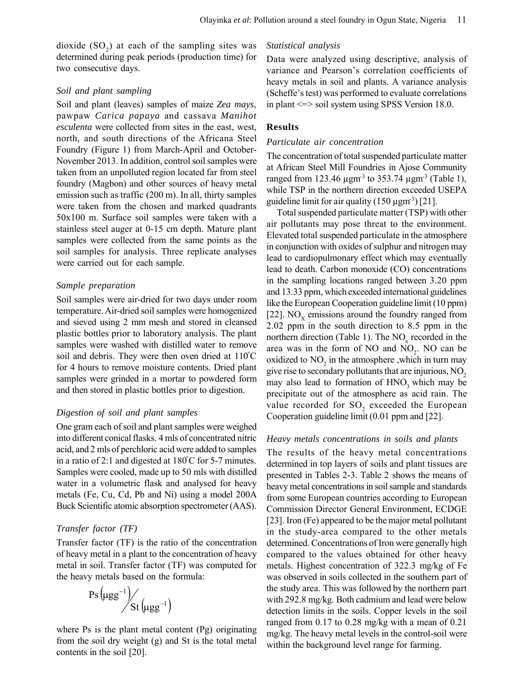dioxide  $(SO_2)$  at each of the sampling sites was determined during peak periods (production time) for two consecutive days.

## *Soil and plant sampling*

Soil and plant (leaves) samples of maize *Zea mays*, pawpaw *Carica papaya* and cassava *Manihot esculenta* were collected from sites in the east, west, north, and south directions of the Africana Steel Foundry (Figure 1) from March-April and October-November 2013. In addition, control soil samples were taken from an unpolluted region located far from steel foundry (Magbon) and other sources of heavy metal emission such as traffic (200 m). In all, thirty samples were taken from the chosen and marked quadrants 50x100 m. Surface soil samples were taken with a stainless steel auger at 0-15 cm depth. Mature plant samples were collected from the same points as the soil samples for analysis. Three replicate analyses were carried out for each sample.

# *Sample preparation*

Soil samples were air-dried for two days under room temperature. Air-dried soil samples were homogenized and sieved using 2 mm mesh and stored in cleansed plastic bottles prior to laboratory analysis. The plant samples were washed with distilled water to remove soil and debris. They were then oven dried at 110°C for 4 hours to remove moisture contents. Dried plant samples were grinded in a mortar to powdered form and then stored in plastic bottles prior to digestion.

# *Digestion of soil and plant samples*

One gram each of soil and plant samples were weighed into different conical flasks. 4 mls of concentrated nitric acid, and 2 mls of perchloric acid were added to samples in a ratio of 2:1 and digested at  $180^{\circ}$ C for 5-7 minutes. Samples were cooled, made up to 50 mls with distilled water in a volumetric flask and analysed for heavy metals (Fe, Cu, Cd, Pb and Ni) using a model 200A Buck Scientific atomic absorption spectrometer (AAS).

# *Transfer factor (TF)*

Transfer factor (TF) is the ratio of the concentration of heavy metal in a plant to the concentration of heavy metal in soil. Transfer factor (TF) was computed for the heavy metals based on the formula:

$$
\mathrm{Ps}\left(\mu gg^{-1}\right) / \mathrm{St}\left(\mu gg^{-1}\right)
$$

where Ps is the plant metal content (Pg) originating from the soil dry weight (g) and St is the total metal contents in the soil [20].

### *Statistical analysis*

Data were analyzed using descriptive, analysis of variance and Pearson's correlation coefficients of heavy metals in soil and plants. A variance analysis (Scheffe's test) was performed to evaluate correlations in plant <=> soil system using SPSS Version 18.0.

# **Results**

#### *Particulate air concentration*

The concentration of total suspended particulate matter at African Steel Mill Foundries in Ajose Community ranged from 123.46  $\mu$ gm<sup>-3</sup> to 353.74  $\mu$ gm<sup>-3</sup> (Table 1), while TSP in the northern direction exceeded USEPA guideline limit for air quality  $(150 \mu g m^3)$  [21].

Total suspended particulate matter (TSP) with other air pollutants may pose threat to the environment. Elevated total suspended particulate in the atmosphere in conjunction with oxides of sulphur and nitrogen may lead to cardiopulmonary effect which may eventually lead to death. Carbon monoxide (CO) concentrations in the sampling locations ranged between 3.20 ppm and 13.33 ppm, which exceeded international guidelines like the European Cooperation guideline limit (10 ppm) [22]. NO<sub>X</sub> emissions around the foundry ranged from 2.02 ppm in the south direction to 8.5 ppm in the northern direction (Table 1). The  $NO<sub>x</sub>$  recorded in the area was in the form of NO and  $NO<sub>2</sub>$ . NO can be oxidized to  $NO<sub>2</sub>$  in the atmosphere , which in turn may give rise to secondary pollutants that are injurious,  $NO<sub>2</sub>$ may also lead to formation of  $HNO<sub>3</sub>$  which may be precipitate out of the atmosphere as acid rain. The value recorded for  $\mathrm{SO}_2$  exceeded the European Cooperation guideline limit (0.01 ppm and [22].

#### *Heavy metals concentrations in soils and plants*

The results of the heavy metal concentrations determined in top layers of soils and plant tissues are presented in Tables 2-3. Table 2 shows the means of heavy metal concentrations in soil sample and standards from some European countries according to European Commission Director General Environment, ECDGE [23]. Iron (Fe) appeared to be the major metal pollutant in the study-area compared to the other metals determined. Concentrations of Iron were generally high compared to the values obtained for other heavy metals. Highest concentration of 322.3 mg/kg of Fe was observed in soils collected in the southern part of the study area. This was followed by the northern part with 292.8 mg/kg. Both cadmium and lead were below detection limits in the soils. Copper levels in the soil ranged from 0.17 to 0.28 mg/kg with a mean of 0.21 mg/kg. The heavy metal levels in the control-soil were within the background level range for farming.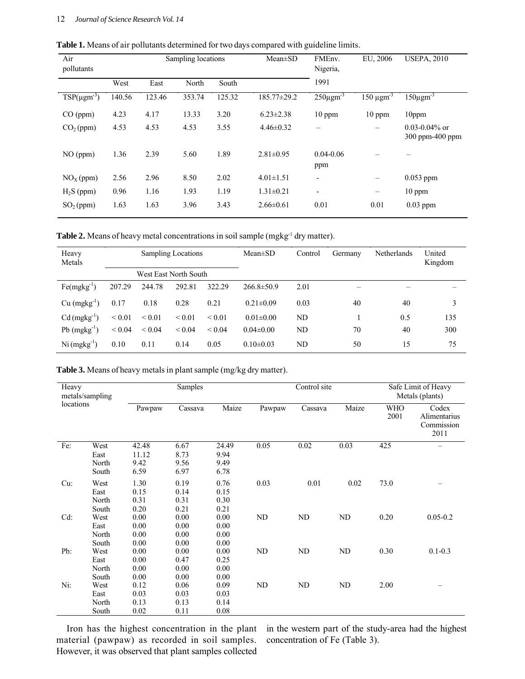| Table 1. Means of air pollutants determined for two days compared with guideline limits. |  |  |  |
|------------------------------------------------------------------------------------------|--|--|--|
|------------------------------------------------------------------------------------------|--|--|--|

| Air<br>pollutants     | Sampling locations |        |        | Mean±SD | FMEnv.<br>Nigeria, | EU, 2006                 | <b>USEPA, 2010</b>         |                                            |
|-----------------------|--------------------|--------|--------|---------|--------------------|--------------------------|----------------------------|--------------------------------------------|
|                       | West               | East   | North  | South   |                    | 1991                     |                            |                                            |
| $TSP(\mu gm^{-3})$    | 140.56             | 123.46 | 353.74 | 125.32  | 185.77±29.2        | $250\mu\text{gm}^3$      | $150 \mu$ gm <sup>-3</sup> | $150 \mu \text{gm}^{-3}$                   |
| CO (ppm)              | 4.23               | 4.17   | 13.33  | 3.20    | $6.23 \pm 2.38$    | $10$ ppm                 | $10$ ppm                   | $10$ ppm                                   |
| CO <sub>2</sub> (ppm) | 4.53               | 4.53   | 4.53   | 3.55    | $4.46\pm0.32$      | $\overline{\phantom{0}}$ | -                          | $0.03 - 0.04\%$ or<br>$300$ ppm- $400$ ppm |
| NO (ppm)              | 1.36               | 2.39   | 5.60   | 1.89    | $2.81 \pm 0.95$    | $0.04 - 0.06$<br>ppm     |                            |                                            |
| $NOx$ (ppm)           | 2.56               | 2.96   | 8.50   | 2.02    | $4.01 \pm 1.51$    | $\overline{\phantom{a}}$ | -                          | $0.053$ ppm                                |
| $H2S$ (ppm)           | 0.96               | 1.16   | 1.93   | 1.19    | $1.31 \pm 0.21$    | $\overline{\phantom{a}}$ | $\overline{\phantom{m}}$   | $10$ ppm                                   |
| SO <sub>2</sub> (ppm) | 1.63               | 1.63   | 3.96   | 3.43    | $2.66 \pm 0.61$    | 0.01                     | 0.01                       | $0.03$ ppm                                 |

Table 2. Means of heavy metal concentrations in soil sample (mgkg<sup>-1</sup> dry matter).

| Heavy<br>Metals            | <b>Sampling Locations</b> |                       |             | $Mean \pm SD$ | Control          | Germany | <b>Netherlands</b> | United<br>Kingdom |     |
|----------------------------|---------------------------|-----------------------|-------------|---------------|------------------|---------|--------------------|-------------------|-----|
|                            |                           | West East North South |             |               |                  |         |                    |                   |     |
| $Fe(mgkg^{-1})$            | 207.29                    | 244.78                | 292.81      | 322.29        | $266.8 \pm 50.9$ | 2.01    | -                  |                   |     |
| $Cu$ (mgkg <sup>-1</sup> ) | 0.17                      | 0.18                  | 0.28        | 0.21          | $0.21 \pm 0.09$  | 0.03    | 40                 | 40                | 3   |
| $Cd$ (mgkg <sup>-1</sup> ) | ${}_{0.01}$               | ${}_{0.01}$           | ${}_{0.01}$ | ${}_{0.01}$   | $0.01 \pm 0.00$  | ND      |                    | 0.5               | 135 |
| $Pb$ (mgkg <sup>-1</sup> ) | ${}< 0.04$                | ${}< 0.04$            | ${}_{0.04}$ | ${}_{0.04}$   | $0.04 \pm 0.00$  | ND      | 70                 | 40                | 300 |
| $Ni$ (mgkg <sup>-1</sup> ) | 0.10                      | 0.11                  | 0.14        | 0.05          | $0.10 \pm 0.03$  | ND      | 50                 | 15                | 75  |

**Table 3.** Means of heavy metals in plant sample (mg/kg dry matter).

| Heavy<br>metals/sampling<br>locations |                                |                                | Samples                      | Control site                  |        |         |       | Safe Limit of Heavy<br>Metals (plants) |                                             |
|---------------------------------------|--------------------------------|--------------------------------|------------------------------|-------------------------------|--------|---------|-------|----------------------------------------|---------------------------------------------|
|                                       |                                | Pawpaw                         | Cassava                      | Maize                         | Pawpaw | Cassava | Maize | <b>WHO</b><br>2001                     | Codex<br>Alimentarius<br>Commission<br>2011 |
| Fe:                                   | West<br>East<br>North<br>South | 42.48<br>11.12<br>9.42<br>6.59 | 6.67<br>8.73<br>9.56<br>6.97 | 24.49<br>9.94<br>9.49<br>6.78 | 0.05   | 0.02    | 0.03  | 425                                    | $\overline{\phantom{0}}$                    |
| $Cu$ :                                | West<br>East<br>North<br>South | 1.30<br>0.15<br>0.31<br>0.20   | 0.19<br>0.14<br>0.31<br>0.21 | 0.76<br>0.15<br>0.30<br>0.21  | 0.03   | 0.01    | 0.02  | 73.0                                   |                                             |
| Cd:                                   | West<br>East<br>North<br>South | 0.00<br>0.00<br>0.00<br>0.00   | 0.00<br>0.00<br>0.00<br>0.00 | 0.00<br>0.00<br>0.00<br>0.00  | ND     | ND      | ND    | 0.20                                   | $0.05 - 0.2$                                |
| Pb:                                   | West<br>East<br>North<br>South | 0.00<br>0.00<br>0.00<br>0.00   | 0.00<br>0.47<br>0.00<br>0.00 | 0.00<br>0.25<br>0.00<br>0.00  | ND     | ND      | ND    | 0.30                                   | $0.1 - 0.3$                                 |
| Ni:                                   | West<br>East<br>North<br>South | 0.12<br>0.03<br>0.13<br>0.02   | 0.06<br>0.03<br>0.13<br>0.11 | 0.09<br>0.03<br>0.14<br>0.08  | ND     | ND      | ND    | 2.00                                   |                                             |

Iron has the highest concentration in the plant material (pawpaw) as recorded in soil samples. However, it was observed that plant samples collected

in the western part of the study-area had the highest concentration of Fe (Table 3).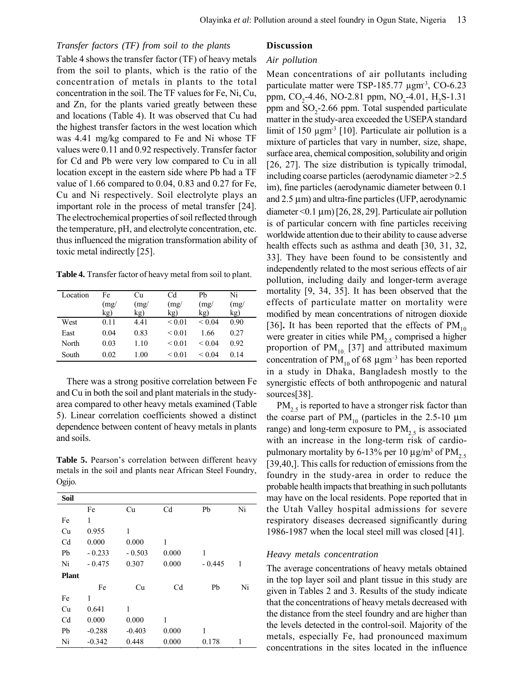# *Transfer factors (TF) from soil to the plants*

Table 4 shows the transfer factor (TF) of heavy metals from the soil to plants, which is the ratio of the concentration of metals in plants to the total concentration in the soil. The TF values for Fe, Ni, Cu, and Zn, for the plants varied greatly between these and locations (Table 4). It was observed that Cu had the highest transfer factors in the west location which was 4.41 mg/kg compared to Fe and Ni whose TF values were 0.11 and 0.92 respectively. Transfer factor for Cd and Pb were very low compared to Cu in all location except in the eastern side where Pb had a TF value of 1.66 compared to 0.04, 0.83 and 0.27 for Fe, Cu and Ni respectively. Soil electrolyte plays an important role in the process of metal transfer [24]. The electrochemical properties of soil reflected through the temperature, pH, and electrolyte concentration, etc. thus influenced the migration transformation ability of toxic metal indirectly [25].

**Table 4.** Transfer factor of heavy metal from soil to plant.

| Location | Fe   | Сu   | Cd          | Pb               | Ni   |
|----------|------|------|-------------|------------------|------|
|          | (mg/ | (mg) | (mg)        | (mg)             | (mg) |
|          | kg)  | kg)  | kg)         | kg)              | kg)  |
| West     | 0.11 | 4.41 | ${}_{0.01}$ | ${}< 0.04$       | 0.90 |
| East     | 0.04 | 0.83 | < 0.01      | 1.66             | 0.27 |
| North    | 0.03 | 1.10 | ${}_{0.01}$ | ${}_{\leq 0.04}$ | 0.92 |
| South    | 0.02 | 1.00 | ${}_{0.01}$ | < 0.04           | 0.14 |

There was a strong positive correlation between Fe and Cu in both the soil and plant materials in the studyarea compared to other heavy metals examined (Table 5). Linear correlation coefficients showed a distinct dependence between content of heavy metals in plants and soils.

**Table 5.** Pearson's correlation between different heavy metals in the soil and plants near African Steel Foundry, Ogijo.

| Soil           |          |          |                |          |    |
|----------------|----------|----------|----------------|----------|----|
|                | Fe       | Cu       | C <sub>d</sub> | Pb       | Ni |
| Fe             | 1        |          |                |          |    |
| Cu             | 0.955    | 1        |                |          |    |
| C <sub>d</sub> | 0.000    | 0.000    | 1              |          |    |
| Pb             | $-0.233$ | $-0.503$ | 0.000          | 1        |    |
| Ni             | $-0.475$ | 0.307    | 0.000          | $-0.445$ | 1  |
| <b>Plant</b>   |          |          |                |          |    |
|                | Fe       | Cu       | Cd             | Pb       | Ni |
| Fe             | 1        |          |                |          |    |
| Cu             | 0.641    | 1        |                |          |    |
| C <sub>d</sub> | 0.000    | 0.000    | 1              |          |    |
| Pb             | $-0.288$ | $-0.403$ | 0.000          | 1        |    |
| Ni             | $-0.342$ | 0.448    | 0.000          | 0.178    | 1  |

# **Discussion**

### *Air pollution*

Mean concentrations of air pollutants including particulate matter were TSP-185.77  $\mu$ gm<sup>3</sup>, CO-6.23 ppm,  $CO_2$ -4.46, NO-2.81 ppm, NO<sub>x</sub>-4.01, H<sub>2</sub>S-1.31 ppm and  $SO_2$ -2.66 ppm. Total suspended particulate matter in the study-area exceeded the USEPA standard limit of 150  $\mu$ gm<sup>-3</sup> [10]. Particulate air pollution is a mixture of particles that vary in number, size, shape, surface area, chemical composition, solubility and origin [26, 27]. The size distribution is typically trimodal, including coarse particles (aerodynamic diameter >2.5 im), fine particles (aerodynamic diameter between 0.1) and  $2.5 \mu m$ ) and ultra-fine particles (UFP, aerodynamic diameter < 0.1  $\mu$ m) [26, 28, 29]. Particulate air pollution is of particular concern with fine particles receiving worldwide attention due to their ability to cause adverse health effects such as asthma and death [30, 31, 32, 33]. They have been found to be consistently and independently related to the most serious effects of air pollution, including daily and longer-term average mortality [9, 34, 35]. It has been observed that the effects of particulate matter on mortality were modified by mean concentrations of nitrogen dioxide [36]. It has been reported that the effects of  $PM_{10}$ were greater in cities while  $PM<sub>2.5</sub>$  comprised a higher proportion of  $PM_{10}$  [37] and attributed maximum concentration of  $PM_{10}$  of 68  $\mu$ gm<sup>-3</sup> has been reported in a study in Dhaka, Bangladesh mostly to the synergistic effects of both anthropogenic and natural sources[38].

 $PM_{2,5}$  is reported to have a stronger risk factor than the coarse part of  $PM_{10}$  (particles in the 2.5-10  $\mu$ m range) and long-term exposure to  $PM_{2.5}$  is associated with an increase in the long-term risk of cardiopulmonary mortality by 6-13% per 10  $\mu$ g/m<sup>3</sup> of PM<sub>2.5</sub> [39,40,]. This calls for reduction of emissions from the foundry in the study-area in order to reduce the probable health impacts that breathing in such pollutants may have on the local residents. Pope reported that in the Utah Valley hospital admissions for severe respiratory diseases decreased significantly during 1986-1987 when the local steel mill was closed [41].

# *Heavy metals concentration*

The average concentrations of heavy metals obtained in the top layer soil and plant tissue in this study are given in Tables 2 and 3. Results of the study indicate that the concentrations of heavy metals decreased with the distance from the steel foundry and are higher than the levels detected in the control-soil. Majority of the metals, especially Fe, had pronounced maximum concentrations in the sites located in the influence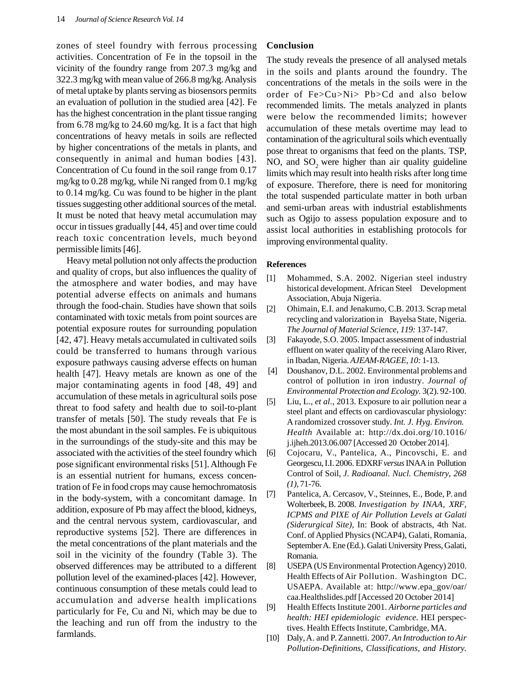zones of steel foundry with ferrous processing activities. Concentration of Fe in the topsoil in the vicinity of the foundry range from 207.3 mg/kg and 322.3 mg/kg with mean value of 266.8 mg/kg. Analysis of metal uptake by plants serving as biosensors permits an evaluation of pollution in the studied area [42]. Fe has the highest concentration in the plant tissue ranging from 6.78 mg/kg to 24.60 mg/kg. It is a fact that high concentrations of heavy metals in soils are reflected by higher concentrations of the metals in plants, and consequently in animal and human bodies [43]. Concentration of Cu found in the soil range from 0.17 mg/kg to 0.28 mg/kg, while Ni ranged from 0.1 mg/kg to 0.14 mg/kg. Cu was found to be higher in the plant tissues suggesting other additional sources of the metal. It must be noted that heavy metal accumulation may occur in tissues gradually [44, 45] and over time could reach toxic concentration levels, much beyond permissible limits [46].

Heavy metal pollution not only affects the production and quality of crops, but also influences the quality of the atmosphere and water bodies, and may have potential adverse effects on animals and humans through the food-chain. Studies have shown that soils contaminated with toxic metals from point sources are potential exposure routes for surrounding population [42, 47]. Heavy metals accumulated in cultivated soils could be transferred to humans through various exposure pathways causing adverse effects on human health [47]. Heavy metals are known as one of the major contaminating agents in food [48, 49] and accumulation of these metals in agricultural soils pose threat to food safety and health due to soil-to-plant transfer of metals [50]. The study reveals that Fe is the most abundant in the soil samples. Fe is ubiquitous in the surroundings of the study-site and this may be associated with the activities of the steel foundry which pose significant environmental risks [51]. Although Fe is an essential nutrient for humans, excess concentration of Fe in food crops may cause hemochromatosis in the body-system, with a concomitant damage. In addition, exposure of Pb may affect the blood, kidneys, and the central nervous system, cardiovascular, and reproductive systems [52]. There are differences in the metal concentrations of the plant materials and the soil in the vicinity of the foundry (Table 3). The observed differences may be attributed to a different pollution level of the examined-places [42]. However, continuous consumption of these metals could lead to accumulation and adverse health implications particularly for Fe, Cu and Ni, which may be due to the leaching and run off from the industry to the farmlands.

### **Conclusion**

The study reveals the presence of all analysed metals in the soils and plants around the foundry. The concentrations of the metals in the soils were in the order of Fe>Cu>Ni> Pb>Cd and also below recommended limits. The metals analyzed in plants were below the recommended limits; however accumulation of these metals overtime may lead to contamination of the agricultural soils which eventually pose threat to organisms that feed on the plants. TSP, NO, and  $SO<sub>2</sub>$  were higher than air quality guideline limits which may result into health risks after long time of exposure. Therefore, there is need for monitoring the total suspended particulate matter in both urban and semi-urban areas with industrial establishments such as Ogijo to assess population exposure and to assist local authorities in establishing protocols for improving environmental quality.

#### **References**

- [1] Mohammed, S.A. 2002. Nigerian steel industry historical development. African Steel Development Association, Abuja Nigeria.
- [2] Ohimain, E.I. and Jenakumo, C.B. 2013. Scrap metal recycling and valorization in Bayelsa State, Nigeria. *The Journal of Material Science*, *119:* 137-147.
- [3] Fakayode, S.O. 2005. Impact assessment of industrial effluent on water quality of the receiving Alaro River, in Ibadan, Nigeria. *AJEAM-RAGEE, 10:* 1-13.
- [4] Doushanov, D.L. 2002. Environmental problems and control of pollution in iron industry. *Journal of Environmental Protection and Ecology.* 3(2). 92-100.
- [5] Liu, L., *et al*., 2013. Exposure to air pollution near a steel plant and effects on cardiovascular physiology: A randomized crossover study. *Int. J. Hyg. Environ. Health* Available at: http://dx.doi.org/10.1016/ j.ijheh.2013.06.007 [Accessed 20 October 2014].
- [6] Cojocaru, V., Pantelica, A., Pincovschi, E. and Georgescu, I.I. 2006. EDXRF *versus* INAA in Pollution Control of Soil, *J. Radioanal. Nucl. Chemistry*, *268*  $(1)$ , 71-76.
- [7] Pantelica, A. Cercasov, V., Steinnes, E., Bode, P. and Wolterbeek, B. 2008. *Investigation by INAA, XRF, ICPMS and PIXE of Air Pollution Levels at Galati (Siderurgical Site),* In: Book of abstracts, 4th Nat. Conf. of Applied Physics (NCAP4), Galati, Romania, September A. Ene (Ed.). Galati University Press, Galati, Romania.
- [8] USEPA (US Environmental Protection Agency) 2010. Health Effects of Air Pollution. Washington DC. USAEPA. Available at: http://www.epa\_gov/oar/ caa.Healthslides.pdf [Accessed 20 October 2014]
- [9] Health Effects Institute 2001. *Airborne particles and health: HEI epidemiologic evidence.* HEI perspectives. Health Effects Institute, Cambridge, MA.
- [10] Daly, A. and P. Zannetti. 2007. *An Introduction to Air Pollution-Definitions, Classifications, and History.*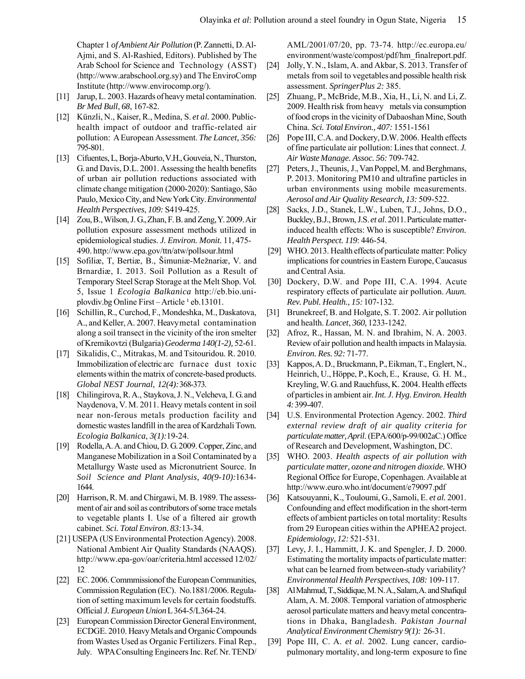Chapter 1 *of Ambient Air Pollution* (P. Zannetti, D. Al-Ajmi, and S. Al-Rashied, Editors). Published by The Arab School for Science and Technology (ASST) (http://www.arabschool.org.sy) and The EnviroComp Institute (http://www.envirocomp.org/).

- [11] Jarup, L. 2003. Hazards of heavy metal contamination. *Br Med Bull*, *68*, 167-82.
- [12] KÜnzli, N., Kaiser, R., Medina, S. *et al.* 2000. Publichealth impact of outdoor and traffic-related air pollution: A European Assessment. *The Lancet, 356:* 795-801.
- [13] Cifuentes, L, Borja-Aburto, V.H., Gouveia, N., Thurston, G. and Davis, D.L. 2001. Assessing the health benefits of urban air pollution reductions associated with climate change mitigation (2000-2020): Santiago, Sáo Paulo, Mexico City, and New York City. *Environmental Health Perspectives*, *109:* S419-425.
- [14] Zou, B., Wilson, J. G., Zhan, F. B. and Zeng, Y. 2009. Air pollution exposure assessment methods utilized in epidemiological studies. *J. Environ. Monit.* 11, 475- 490. http://www.epa.gov/ttn/atw/pollsour.html
- [15] Sofiliæ, T, Bertiæ, B., Šimuniæ-Mežnariæ, V. and Brnardià, I. 2013. Soil Pollution as a Result of Temporary Steel Scrap Storage at the Melt Shop. Vol. 5, Issue 1 *Ecologia Balkanica* http://eb.bio.uniplovdiv.bg Online First – Article<sup>1</sup> eb.13101.
- [16] Schillin, R., Curchod, F., Mondeshka, M., Daskatova, A., and Keller, A. 2007. Heavymetal contamination along a soil transect in the vicinity of the iron smelter of Kremikovtzi (Bulgaria) *Geoderma 140(1-2),* 52-61.
- [17] Sikalidis, C., Mitrakas, M. and Tsitouridou. R. 2010. Immobilization of electric arc furnace dust toxic elements within the matrix of concrete-based products. *Global NEST Journal*, *12(4):*368-373.
- [18] Chilingirova, R. A., Staykova, J. N., Velcheva, I. G. and Naydenova, V. M. 2011. Heavy metals content in soil near non-ferous metals production facility and domestic wastes landfill in the area of Kardzhali Town. *Ecologia Balkanica*, *3(1):*19-24.
- [19] Rodella, A. A. and Chiou, D. G. 2009. Copper, Zinc, and Manganese Mobilization in a Soil Contaminated by a Metallurgy Waste used as Micronutrient Source. In *Soil Science and Plant Analysis, 40(9-10):*1634- 1644.
- [20] Harrison, R. M. and Chirgawi, M. B. 1989. The assessment of air and soil as contributors of some trace metals to vegetable plants I. Use of a filtered air growth cabinet. *Sci. Total Environ*. *83:*13-34.
- [21] USEPA (US Environmental Protection Agency). 2008. National Ambient Air Quality Standards (NAAQS). http://www.epa-gov/oar/criteria.html accessed 12/02/ 12
- [22] EC. 2006. Commmission of the European Communities, Commission Regulation (EC). No.1881/2006. Regulation of setting maximum levels for certain foodstuffs. Official *J. European Union* L 364-5/L364-24.
- [23] European Commission Director General Environment, ECDGE. 2010. Heavy Metals and Organic Compounds from Wastes Used as Organic Fertilizers. Final Rep., July. WPA Consulting Engineers Inc. Ref. Nr. TEND/

AML/2001/07/20, pp. 73-74. http://ec.europa.eu/ environment/waste/compost/pdf/hm\_finalreport.pdf.

- [24] Jolly, Y. N., Islam, A. and Akbar, S. 2013. Transfer of metals from soil to vegetables and possible health risk assessment. *SpringerPlus 2:* 385.
- [25] Zhuang, P., McBride, M.B., Xia, H., Li, N. and Li, Z. 2009. Health risk from heavy metals via consumption of food crops in the vicinity of Dabaoshan Mine, South China. *Sci. Total Environ., 407:* 1551-1561
- [26] Pope III, C.A. and Dockery, D.W. 2006. Health effects of fine particulate air pollution: Lines that connect. *J. Air Waste Manage. Assoc. 56:* 709-742.
- [27] Peters, J., Theunis, J., Van Poppel, M. and Berghmans, P. 2013. Monitoring PM10 and ultrafine particles in urban environments using mobile measurements. *Aerosol and Air Quality Research, 13:* 509-522.
- [28] Sacks, J.D., Stanek, L.W., Luben, T.J., Johns, D.O., Buckley, B.J., Brown, J.S. *et al*. 2011. Particulate matterinduced health effects: Who is susceptible? *Environ. Health Perspect. 119*: 446-54.
- [29] WHO. 2013. Health effects of particulate matter: Policy implications for countries in Eastern Europe, Caucasus and Central Asia.
- [30] Dockery, D.W. and Pope III, C.A. 1994. Acute respiratory effects of particulate air pollution. *Auun. Rev. Publ. Health., 15:* 107-132.
- [31] Brunekreef, B. and Holgate, S. T. 2002. Air pollution and health. *Lancet*, *360,* 1233-1242.
- [32] Afroz, R., Hassan, M. N. and Ibrahim, N. A. 2003. Review of air pollution and health impacts in Malaysia. *Environ. Res. 92:* 71-77.
- [33] Kappos, A. D., Bruckmann, P., Eikman, T., Englert, N., Heinrich, U., Håppe, P., Koch,E., Krause, G. H. M., Kreyling, W. G. and Rauchfuss, K. 2004. Health effects of particles in ambient air. *Int. J. Hyg. Environ. Health 4:*399-407.
- [34] U.S. Environmental Protection Agency. 2002. *Third external review draft of air quality criteria for particulate matter, April*. (EPA/600/p-99/002aC.) Office of Research and Development, Washington, DC.
- [35] WHO. 2003. *Health aspects of air pollution with particulate matter, ozone and nitrogen dioxide.* WHO Regional Office for Europe, Copenhagen. Available at http://www.euro.who.int/document/e79097.pdf
- [36] Katsouyanni, K., Touloumi, G., Samoli, E. *et al.* 2001. Confounding and effect modification in the short-term effects of ambient particles on total mortality: Results from 29 European cities within the APHEA2 project. *Epidemiology*, *12:* 521-531.
- [37] Levy, J. I., Hammitt, J. K. and Spengler, J. D. 2000. Estimating the mortality impacts of particulate matter: what can be learned from between-study variability? *Environmental Health Perspectives*, *108:* 109-117.
- [38] Al Mahmud, T., Siddique, M. N. A., Salam, A. and Shafiqul Alam, A. M. 2008. Temporal variation of atmospheric aerosol particulate matters and heavy metal concentrations in Dhaka, Bangladesh. *Pakistan Journal Analytical Environment Chemistry 9(1):* 26-31.
- [39] Pope III, C. A. *et al*. 2002. Lung cancer, cardiopulmonary mortality, and long-term exposure to fine